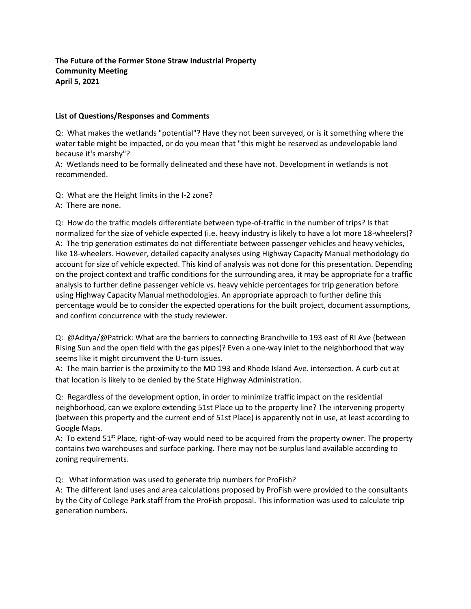## **The Future of the Former Stone Straw Industrial Property Community Meeting April 5, 2021**

## **List of Questions/Responses and Comments**

Q: What makes the wetlands "potential"? Have they not been surveyed, or is it something where the water table might be impacted, or do you mean that "this might be reserved as undevelopable land because it's marshy"?

A: Wetlands need to be formally delineated and these have not. Development in wetlands is not recommended.

Q: What are the Height limits in the I-2 zone?

A: There are none.

Q: How do the traffic models differentiate between type-of-traffic in the number of trips? Is that normalized for the size of vehicle expected (i.e. heavy industry is likely to have a lot more 18-wheelers)? A: The trip generation estimates do not differentiate between passenger vehicles and heavy vehicles, like 18-wheelers. However, detailed capacity analyses using Highway Capacity Manual methodology do account for size of vehicle expected. This kind of analysis was not done for this presentation. Depending on the project context and traffic conditions for the surrounding area, it may be appropriate for a traffic analysis to further define passenger vehicle vs. heavy vehicle percentages for trip generation before using Highway Capacity Manual methodologies. An appropriate approach to further define this percentage would be to consider the expected operations for the built project, document assumptions, and confirm concurrence with the study reviewer.

Q: @Aditya/@Patrick: What are the barriers to connecting Branchville to 193 east of RI Ave (between Rising Sun and the open field with the gas pipes)? Even a one-way inlet to the neighborhood that way seems like it might circumvent the U-turn issues.

A: The main barrier is the proximity to the MD 193 and Rhode Island Ave. intersection. A curb cut at that location is likely to be denied by the State Highway Administration.

Q: Regardless of the development option, in order to minimize traffic impact on the residential neighborhood, can we explore extending 51st Place up to the property line? The intervening property (between this property and the current end of 51st Place) is apparently not in use, at least according to Google Maps.

A: To extend  $51<sup>st</sup>$  Place, right-of-way would need to be acquired from the property owner. The property contains two warehouses and surface parking. There may not be surplus land available according to zoning requirements.

Q: What information was used to generate trip numbers for ProFish?

A: The different land uses and area calculations proposed by ProFish were provided to the consultants by the City of College Park staff from the ProFish proposal. This information was used to calculate trip generation numbers.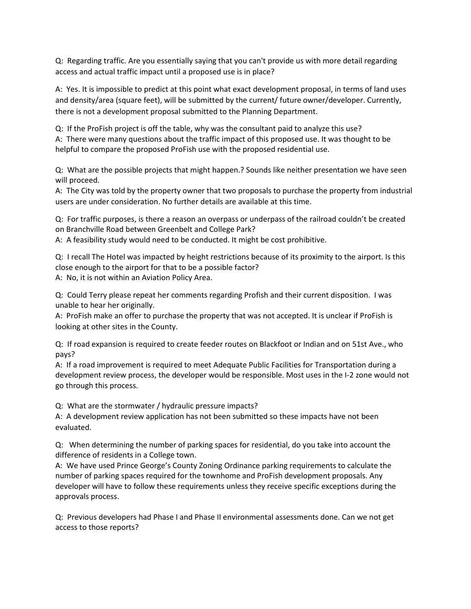Q: Regarding traffic. Are you essentially saying that you can't provide us with more detail regarding access and actual traffic impact until a proposed use is in place?

A: Yes. It is impossible to predict at this point what exact development proposal, in terms of land uses and density/area (square feet), will be submitted by the current/ future owner/developer. Currently, there is not a development proposal submitted to the Planning Department.

Q: If the ProFish project is off the table, why was the consultant paid to analyze this use? A: There were many questions about the traffic impact of this proposed use. It was thought to be helpful to compare the proposed ProFish use with the proposed residential use.

Q: What are the possible projects that might happen.? Sounds like neither presentation we have seen will proceed.

A: The City was told by the property owner that two proposals to purchase the property from industrial users are under consideration. No further details are available at this time.

Q: For traffic purposes, is there a reason an overpass or underpass of the railroad couldn't be created on Branchville Road between Greenbelt and College Park?

A: A feasibility study would need to be conducted. It might be cost prohibitive.

Q: I recall The Hotel was impacted by height restrictions because of its proximity to the airport. Is this close enough to the airport for that to be a possible factor? A: No, it is not within an Aviation Policy Area.

Q: Could Terry please repeat her comments regarding Profish and their current disposition. I was unable to hear her originally.

A: ProFish make an offer to purchase the property that was not accepted. It is unclear if ProFish is looking at other sites in the County.

Q: If road expansion is required to create feeder routes on Blackfoot or Indian and on 51st Ave., who pays?

A: If a road improvement is required to meet Adequate Public Facilities for Transportation during a development review process, the developer would be responsible. Most uses in the I-2 zone would not go through this process.

Q: What are the stormwater / hydraulic pressure impacts?

A: A development review application has not been submitted so these impacts have not been evaluated.

Q: When determining the number of parking spaces for residential, do you take into account the difference of residents in a College town.

A: We have used Prince George's County Zoning Ordinance parking requirements to calculate the number of parking spaces required for the townhome and ProFish development proposals. Any developer will have to follow these requirements unless they receive specific exceptions during the approvals process.

Q: Previous developers had Phase I and Phase II environmental assessments done. Can we not get access to those reports?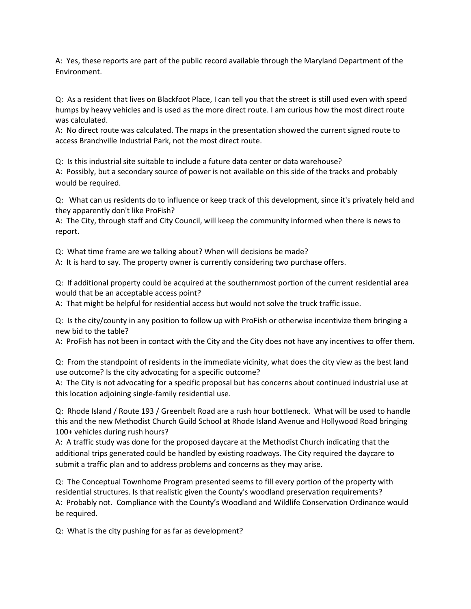A: Yes, these reports are part of the public record available through the Maryland Department of the Environment.

Q: As a resident that lives on Blackfoot Place, I can tell you that the street is still used even with speed humps by heavy vehicles and is used as the more direct route. I am curious how the most direct route was calculated.

A: No direct route was calculated. The maps in the presentation showed the current signed route to access Branchville Industrial Park, not the most direct route.

Q: Is this industrial site suitable to include a future data center or data warehouse?

A: Possibly, but a secondary source of power is not available on this side of the tracks and probably would be required.

Q: What can us residents do to influence or keep track of this development, since it's privately held and they apparently don't like ProFish?

A: The City, through staff and City Council, will keep the community informed when there is news to report.

Q: What time frame are we talking about? When will decisions be made?

A: It is hard to say. The property owner is currently considering two purchase offers.

Q: If additional property could be acquired at the southernmost portion of the current residential area would that be an acceptable access point?

A: That might be helpful for residential access but would not solve the truck traffic issue.

Q: Is the city/county in any position to follow up with ProFish or otherwise incentivize them bringing a new bid to the table?

A: ProFish has not been in contact with the City and the City does not have any incentives to offer them.

Q: From the standpoint of residents in the immediate vicinity, what does the city view as the best land use outcome? Is the city advocating for a specific outcome?

A: The City is not advocating for a specific proposal but has concerns about continued industrial use at this location adjoining single-family residential use.

Q: Rhode Island / Route 193 / Greenbelt Road are a rush hour bottleneck. What will be used to handle this and the new Methodist Church Guild School at Rhode Island Avenue and Hollywood Road bringing 100+ vehicles during rush hours?

A: A traffic study was done for the proposed daycare at the Methodist Church indicating that the additional trips generated could be handled by existing roadways. The City required the daycare to submit a traffic plan and to address problems and concerns as they may arise.

Q: The Conceptual Townhome Program presented seems to fill every portion of the property with residential structures. Is that realistic given the County's woodland preservation requirements? A: Probably not. Compliance with the County's Woodland and Wildlife Conservation Ordinance would be required.

Q: What is the city pushing for as far as development?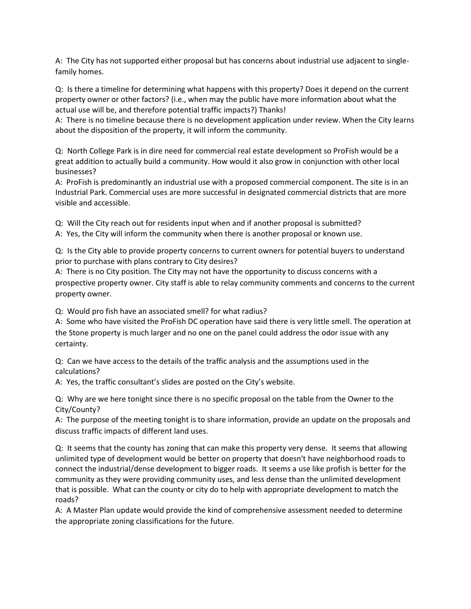A: The City has not supported either proposal but has concerns about industrial use adjacent to singlefamily homes.

Q: Is there a timeline for determining what happens with this property? Does it depend on the current property owner or other factors? (i.e., when may the public have more information about what the actual use will be, and therefore potential traffic impacts?) Thanks!

A: There is no timeline because there is no development application under review. When the City learns about the disposition of the property, it will inform the community.

Q: North College Park is in dire need for commercial real estate development so ProFish would be a great addition to actually build a community. How would it also grow in conjunction with other local businesses?

A: ProFish is predominantly an industrial use with a proposed commercial component. The site is in an Industrial Park. Commercial uses are more successful in designated commercial districts that are more visible and accessible.

Q: Will the City reach out for residents input when and if another proposal is submitted? A: Yes, the City will inform the community when there is another proposal or known use.

Q: Is the City able to provide property concerns to current owners for potential buyers to understand prior to purchase with plans contrary to City desires?

A: There is no City position. The City may not have the opportunity to discuss concerns with a prospective property owner. City staff is able to relay community comments and concerns to the current property owner.

Q: Would pro fish have an associated smell? for what radius?

A: Some who have visited the ProFish DC operation have said there is very little smell. The operation at the Stone property is much larger and no one on the panel could address the odor issue with any certainty.

Q: Can we have access to the details of the traffic analysis and the assumptions used in the calculations?

A: Yes, the traffic consultant's slides are posted on the City's website.

Q: Why are we here tonight since there is no specific proposal on the table from the Owner to the City/County?

A: The purpose of the meeting tonight is to share information, provide an update on the proposals and discuss traffic impacts of different land uses.

Q: It seems that the county has zoning that can make this property very dense. It seems that allowing unlimited type of development would be better on property that doesn't have neighborhood roads to connect the industrial/dense development to bigger roads. It seems a use like profish is better for the community as they were providing community uses, and less dense than the unlimited development that is possible. What can the county or city do to help with appropriate development to match the roads?

A: A Master Plan update would provide the kind of comprehensive assessment needed to determine the appropriate zoning classifications for the future.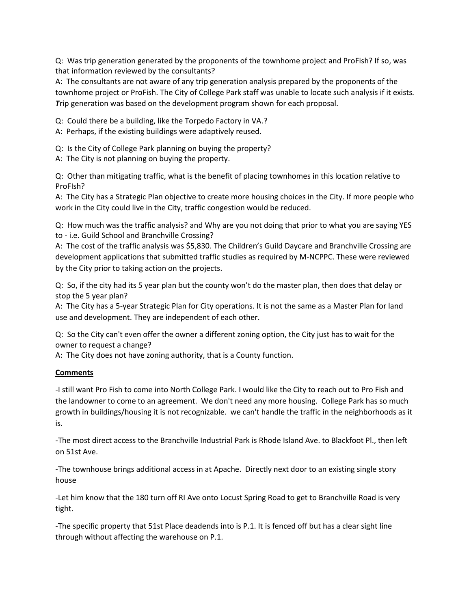Q: Was trip generation generated by the proponents of the townhome project and ProFish? If so, was that information reviewed by the consultants?

A: The consultants are not aware of any trip generation analysis prepared by the proponents of the townhome project or ProFish. The City of College Park staff was unable to locate such analysis if it exists*. T*rip generation was based on the development program shown for each proposal.

Q: Could there be a building, like the Torpedo Factory in VA.?

A: Perhaps, if the existing buildings were adaptively reused.

Q: Is the City of College Park planning on buying the property?

A: The City is not planning on buying the property.

Q: Other than mitigating traffic, what is the benefit of placing townhomes in this location relative to ProFIsh?

A: The City has a Strategic Plan objective to create more housing choices in the City. If more people who work in the City could live in the City, traffic congestion would be reduced.

Q: How much was the traffic analysis? and Why are you not doing that prior to what you are saying YES to - i.e. Guild School and Branchville Crossing?

A: The cost of the traffic analysis was \$5,830. The Children's Guild Daycare and Branchville Crossing are development applications that submitted traffic studies as required by M-NCPPC. These were reviewed by the City prior to taking action on the projects.

Q: So, if the city had its 5 year plan but the county won't do the master plan, then does that delay or stop the 5 year plan?

A: The City has a 5-year Strategic Plan for City operations. It is not the same as a Master Plan for land use and development. They are independent of each other.

Q: So the City can't even offer the owner a different zoning option, the City just has to wait for the owner to request a change?

A: The City does not have zoning authority, that is a County function.

## **Comments**

-I still want Pro Fish to come into North College Park. I would like the City to reach out to Pro Fish and the landowner to come to an agreement. We don't need any more housing. College Park has so much growth in buildings/housing it is not recognizable. we can't handle the traffic in the neighborhoods as it is.

-The most direct access to the Branchville Industrial Park is Rhode Island Ave. to Blackfoot Pl., then left on 51st Ave.

-The townhouse brings additional access in at Apache. Directly next door to an existing single story house

-Let him know that the 180 turn off RI Ave onto Locust Spring Road to get to Branchville Road is very tight.

-The specific property that 51st Place deadends into is P.1. It is fenced off but has a clear sight line through without affecting the warehouse on P.1.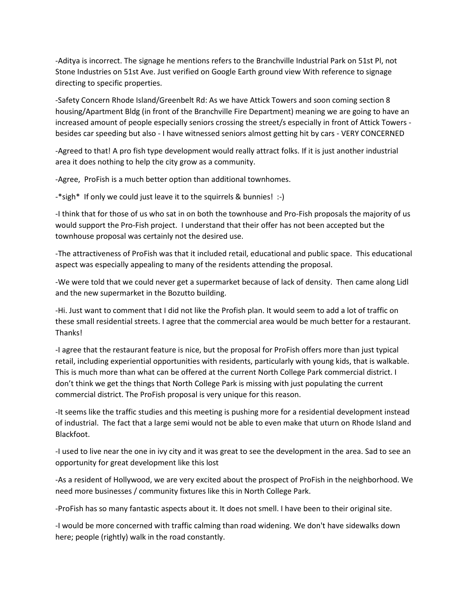-Aditya is incorrect. The signage he mentions refers to the Branchville Industrial Park on 51st Pl, not Stone Industries on 51st Ave. Just verified on Google Earth ground view With reference to signage directing to specific properties.

-Safety Concern Rhode Island/Greenbelt Rd: As we have Attick Towers and soon coming section 8 housing/Apartment Bldg (in front of the Branchville Fire Department) meaning we are going to have an increased amount of people especially seniors crossing the street/s especially in front of Attick Towers besides car speeding but also - I have witnessed seniors almost getting hit by cars - VERY CONCERNED

-Agreed to that! A pro fish type development would really attract folks. If it is just another industrial area it does nothing to help the city grow as a community.

-Agree, ProFish is a much better option than additional townhomes.

-\*sigh\* If only we could just leave it to the squirrels & bunnies! :-)

-I think that for those of us who sat in on both the townhouse and Pro-Fish proposals the majority of us would support the Pro-Fish project. I understand that their offer has not been accepted but the townhouse proposal was certainly not the desired use.

-The attractiveness of ProFish was that it included retail, educational and public space. This educational aspect was especially appealing to many of the residents attending the proposal.

-We were told that we could never get a supermarket because of lack of density. Then came along Lidl and the new supermarket in the Bozutto building.

-Hi. Just want to comment that I did not like the Profish plan. It would seem to add a lot of traffic on these small residential streets. I agree that the commercial area would be much better for a restaurant. Thanks!

-I agree that the restaurant feature is nice, but the proposal for ProFish offers more than just typical retail, including experiential opportunities with residents, particularly with young kids, that is walkable. This is much more than what can be offered at the current North College Park commercial district. I don't think we get the things that North College Park is missing with just populating the current commercial district. The ProFish proposal is very unique for this reason.

-It seems like the traffic studies and this meeting is pushing more for a residential development instead of industrial. The fact that a large semi would not be able to even make that uturn on Rhode Island and Blackfoot.

-I used to live near the one in ivy city and it was great to see the development in the area. Sad to see an opportunity for great development like this lost

-As a resident of Hollywood, we are very excited about the prospect of ProFish in the neighborhood. We need more businesses / community fixtures like this in North College Park.

-ProFish has so many fantastic aspects about it. It does not smell. I have been to their original site.

-I would be more concerned with traffic calming than road widening. We don't have sidewalks down here; people (rightly) walk in the road constantly.